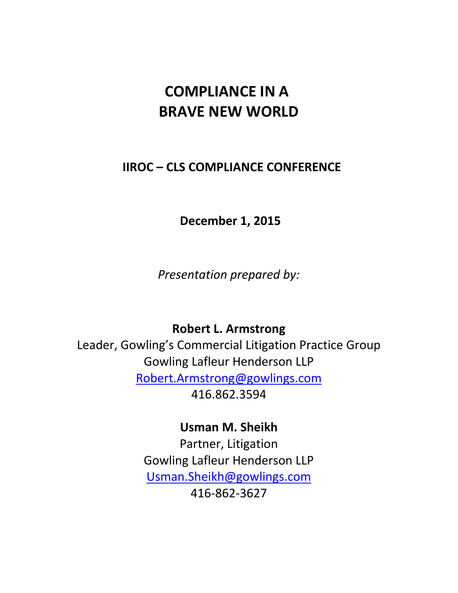# **COMPLIANCE IN A BRAVE NEW WORLD**

# **IIROC – CLS COMPLIANCE CONFERENCE**

**December 1, 2015** 

*Presentation prepared by:*

# **Robert L. Armstrong**

Leader, Gowling's Commercial Litigation Practice Group Gowling Lafleur Henderson LLP [Robert.Armstrong@gowlings.com](mailto:Robert.Armstrong@gowlings.com) 416.862.3594

**Usman M. Sheikh**

Partner, Litigation Gowling Lafleur Henderson LLP [Usman.Sheikh@gowlings.com](mailto:Usman.Sheikh@gowlings.com) 416-862-3627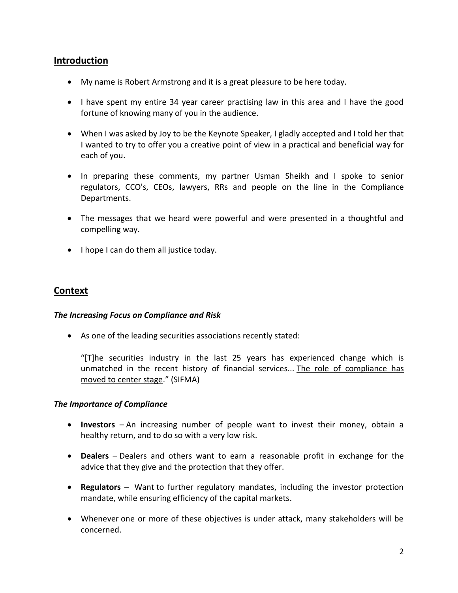# **Introduction**

- My name is Robert Armstrong and it is a great pleasure to be here today.
- I have spent my entire 34 year career practising law in this area and I have the good fortune of knowing many of you in the audience.
- When I was asked by Joy to be the Keynote Speaker, I gladly accepted and I told her that I wanted to try to offer you a creative point of view in a practical and beneficial way for each of you.
- In preparing these comments, my partner Usman Sheikh and I spoke to senior regulators, CCO's, CEOs, lawyers, RRs and people on the line in the Compliance Departments.
- The messages that we heard were powerful and were presented in a thoughtful and compelling way.
- I hope I can do them all justice today.

#### **Context**

#### *The Increasing Focus on Compliance and Risk*

As one of the leading securities associations recently stated:

"[T]he securities industry in the last 25 years has experienced change which is unmatched in the recent history of financial services... The role of compliance has moved to center stage." (SIFMA)

#### *The Importance of Compliance*

- **Investors**  An increasing number of people want to invest their money, obtain a healthy return, and to do so with a very low risk.
- **Dealers** Dealers and others want to earn a reasonable profit in exchange for the advice that they give and the protection that they offer.
- **Regulators**  Want to further regulatory mandates, including the investor protection mandate, while ensuring efficiency of the capital markets.
- Whenever one or more of these objectives is under attack, many stakeholders will be concerned.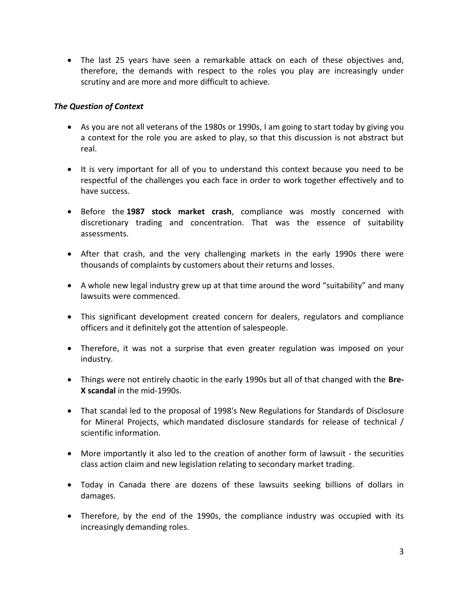The last 25 years have seen a remarkable attack on each of these objectives and, therefore, the demands with respect to the roles you play are increasingly under scrutiny and are more and more difficult to achieve.

#### *The Question of Context*

- As you are not all veterans of the 1980s or 1990s, I am going to start today by giving you a context for the role you are asked to play, so that this discussion is not abstract but real.
- It is very important for all of you to understand this context because you need to be respectful of the challenges you each face in order to work together effectively and to have success.
- Before the **1987 stock market crash**, compliance was mostly concerned with discretionary trading and concentration. That was the essence of suitability assessments.
- After that crash, and the very challenging markets in the early 1990s there were thousands of complaints by customers about their returns and losses.
- A whole new legal industry grew up at that time around the word "suitability" and many lawsuits were commenced.
- This significant development created concern for dealers, regulators and compliance officers and it definitely got the attention of salespeople.
- Therefore, it was not a surprise that even greater regulation was imposed on your industry.
- Things were not entirely chaotic in the early 1990s but all of that changed with the **Bre-X scandal** in the mid-1990s.
- That scandal led to the proposal of 1998's New Regulations for Standards of Disclosure for Mineral Projects, which mandated disclosure standards for release of technical / scientific information.
- More importantly it also led to the creation of another form of lawsuit the securities class action claim and new legislation relating to secondary market trading.
- Today in Canada there are dozens of these lawsuits seeking billions of dollars in damages.
- Therefore, by the end of the 1990s, the compliance industry was occupied with its increasingly demanding roles.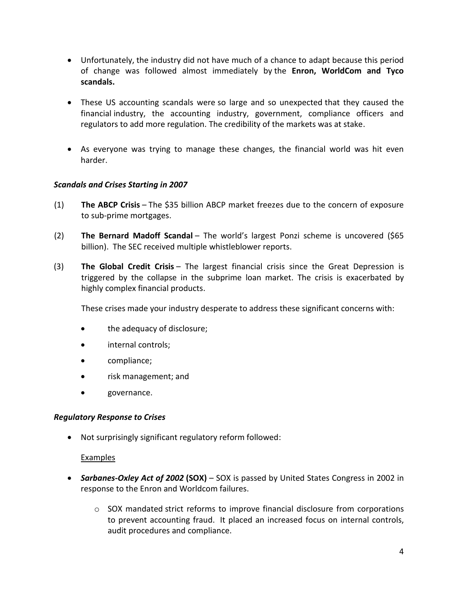- Unfortunately, the industry did not have much of a chance to adapt because this period of change was followed almost immediately by the **Enron, WorldCom and Tyco scandals.**
- These US accounting scandals were so large and so unexpected that they caused the financial industry, the accounting industry, government, compliance officers and regulators to add more regulation. The credibility of the markets was at stake.
- As everyone was trying to manage these changes, the financial world was hit even harder.

#### *Scandals and Crises Starting in 2007*

- (1) **The ABCP Crisis** The \$35 billion ABCP market freezes due to the concern of exposure to sub-prime mortgages.
- (2) **The Bernard Madoff Scandal** The world's largest Ponzi scheme is uncovered (\$65 billion). The SEC received multiple whistleblower reports.
- (3) **The Global Credit Crisis** The largest financial crisis since the Great Depression is triggered by the collapse in the subprime loan market. The crisis is exacerbated by highly complex financial products.

These crises made your industry desperate to address these significant concerns with:

- the adequacy of disclosure;
- internal controls;
- compliance;
- risk management; and
- governance.

#### *Regulatory Response to Crises*

Not surprisingly significant regulatory reform followed:

#### Examples

- *Sarbanes-Oxley Act of 2002* **(SOX)** SOX is passed by United States Congress in 2002 in response to the Enron and Worldcom failures.
	- $\circ$  SOX mandated strict reforms to improve financial disclosure from corporations to prevent accounting fraud. It placed an increased focus on internal controls, audit procedures and compliance.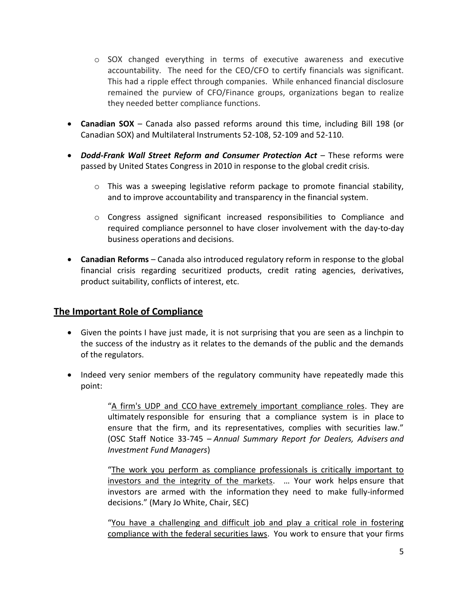- $\circ$  SOX changed everything in terms of executive awareness and executive accountability. The need for the CEO/CFO to certify financials was significant. This had a ripple effect through companies. While enhanced financial disclosure remained the purview of CFO/Finance groups, organizations began to realize they needed better compliance functions.
- **Canadian SOX** Canada also passed reforms around this time, including Bill 198 (or Canadian SOX) and Multilateral Instruments 52-108, 52-109 and 52-110.
- *Dodd-Frank Wall Street Reform and Consumer Protection Act* These reforms were passed by United States Congress in 2010 in response to the global credit crisis.
	- $\circ$  This was a sweeping legislative reform package to promote financial stability, and to improve accountability and transparency in the financial system.
	- o Congress assigned significant increased responsibilities to Compliance and required compliance personnel to have closer involvement with the day-to-day business operations and decisions.
- **Canadian Reforms** Canada also introduced regulatory reform in response to the global financial crisis regarding securitized products, credit rating agencies, derivatives, product suitability, conflicts of interest, etc.

# **The Important Role of Compliance**

- Given the points I have just made, it is not surprising that you are seen as a linchpin to the success of the industry as it relates to the demands of the public and the demands of the regulators.
- Indeed very senior members of the regulatory community have repeatedly made this point:

"A firm's UDP and CCO have extremely important compliance roles. They are ultimately responsible for ensuring that a compliance system is in place to ensure that the firm, and its representatives, complies with securities law." (OSC Staff Notice 33-745 – *Annual Summary Report for Dealers, Advisers and Investment Fund Managers*)

"The work you perform as compliance professionals is critically important to investors and the integrity of the markets. … Your work helps ensure that investors are armed with the information they need to make fully-informed decisions." (Mary Jo White, Chair, SEC)

"You have a challenging and difficult job and play a critical role in fostering compliance with the federal securities laws. You work to ensure that your firms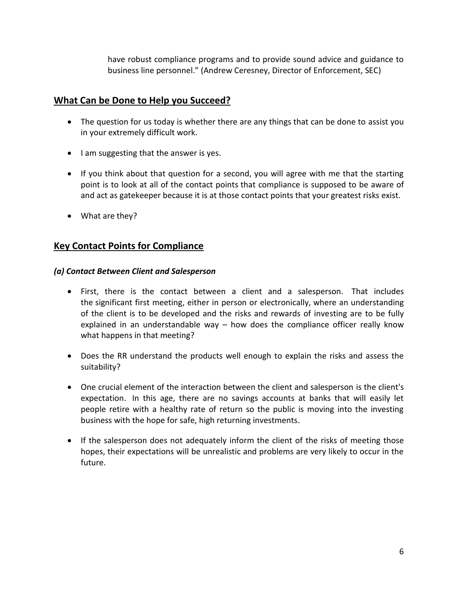have robust compliance programs and to provide sound advice and guidance to business line personnel." (Andrew Ceresney, Director of Enforcement, SEC)

# **What Can be Done to Help you Succeed?**

- The question for us today is whether there are any things that can be done to assist you in your extremely difficult work.
- $\bullet$  I am suggesting that the answer is yes.
- If you think about that question for a second, you will agree with me that the starting point is to look at all of the contact points that compliance is supposed to be aware of and act as gatekeeper because it is at those contact points that your greatest risks exist.
- What are they?

# **Key Contact Points for Compliance**

#### *(a) Contact Between Client and Salesperson*

- First, there is the contact between a client and a salesperson. That includes the significant first meeting, either in person or electronically, where an understanding of the client is to be developed and the risks and rewards of investing are to be fully explained in an understandable way – how does the compliance officer really know what happens in that meeting?
- Does the RR understand the products well enough to explain the risks and assess the suitability?
- One crucial element of the interaction between the client and salesperson is the client's expectation. In this age, there are no savings accounts at banks that will easily let people retire with a healthy rate of return so the public is moving into the investing business with the hope for safe, high returning investments.
- If the salesperson does not adequately inform the client of the risks of meeting those hopes, their expectations will be unrealistic and problems are very likely to occur in the future.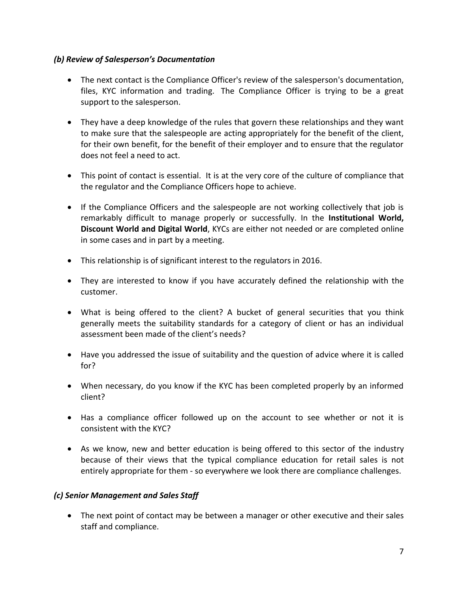#### *(b) Review of Salesperson's Documentation*

- The next contact is the Compliance Officer's review of the salesperson's documentation, files, KYC information and trading. The Compliance Officer is trying to be a great support to the salesperson.
- They have a deep knowledge of the rules that govern these relationships and they want to make sure that the salespeople are acting appropriately for the benefit of the client, for their own benefit, for the benefit of their employer and to ensure that the regulator does not feel a need to act.
- This point of contact is essential. It is at the very core of the culture of compliance that the regulator and the Compliance Officers hope to achieve.
- If the Compliance Officers and the salespeople are not working collectively that job is remarkably difficult to manage properly or successfully. In the **Institutional World, Discount World and Digital World**, KYCs are either not needed or are completed online in some cases and in part by a meeting.
- This relationship is of significant interest to the regulators in 2016.
- They are interested to know if you have accurately defined the relationship with the customer.
- What is being offered to the client? A bucket of general securities that you think generally meets the suitability standards for a category of client or has an individual assessment been made of the client's needs?
- Have you addressed the issue of suitability and the question of advice where it is called for?
- When necessary, do you know if the KYC has been completed properly by an informed client?
- Has a compliance officer followed up on the account to see whether or not it is consistent with the KYC?
- As we know, new and better education is being offered to this sector of the industry because of their views that the typical compliance education for retail sales is not entirely appropriate for them - so everywhere we look there are compliance challenges.

#### *(c) Senior Management and Sales Staff*

 The next point of contact may be between a manager or other executive and their sales staff and compliance.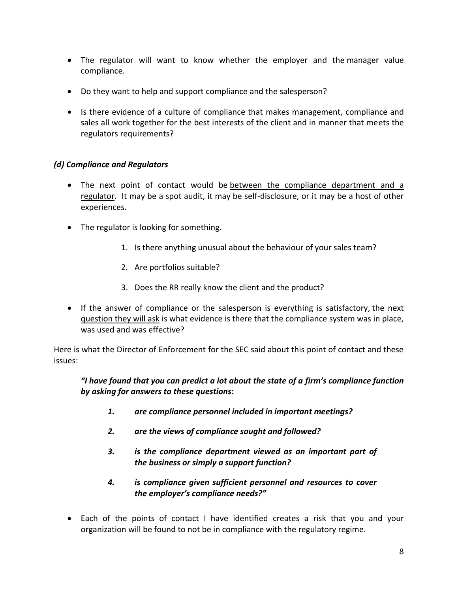- The regulator will want to know whether the employer and the manager value compliance.
- Do they want to help and support compliance and the salesperson?
- Is there evidence of a culture of compliance that makes management, compliance and sales all work together for the best interests of the client and in manner that meets the regulators requirements?

#### *(d) Compliance and Regulators*

- The next point of contact would be between the compliance department and a regulator. It may be a spot audit, it may be self-disclosure, or it may be a host of other experiences.
- The regulator is looking for something.
	- 1. Is there anything unusual about the behaviour of your sales team?
	- 2. Are portfolios suitable?
	- 3. Does the RR really know the client and the product?
- If the answer of compliance or the salesperson is everything is satisfactory, the next question they will ask is what evidence is there that the compliance system was in place, was used and was effective?

Here is what the Director of Enforcement for the SEC said about this point of contact and these issues:

*"I have found that you can predict a lot about the state of a firm's compliance function by asking for answers to these questions***:**

- *1. are compliance personnel included in important meetings?*
- *2. are the views of compliance sought and followed?*
- *3. is the compliance department viewed as an important part of the business or simply a support function?*
- *4. is compliance given sufficient personnel and resources to cover the employer's compliance needs?"*
- Each of the points of contact I have identified creates a risk that you and your organization will be found to not be in compliance with the regulatory regime.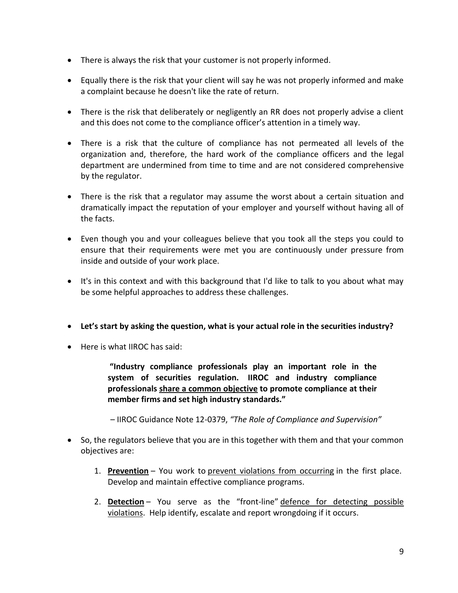- There is always the risk that your customer is not properly informed.
- Equally there is the risk that your client will say he was not properly informed and make a complaint because he doesn't like the rate of return.
- There is the risk that deliberately or negligently an RR does not properly advise a client and this does not come to the compliance officer's attention in a timely way.
- There is a risk that the culture of compliance has not permeated all levels of the organization and, therefore, the hard work of the compliance officers and the legal department are undermined from time to time and are not considered comprehensive by the regulator.
- There is the risk that a regulator may assume the worst about a certain situation and dramatically impact the reputation of your employer and yourself without having all of the facts.
- Even though you and your colleagues believe that you took all the steps you could to ensure that their requirements were met you are continuously under pressure from inside and outside of your work place.
- It's in this context and with this background that I'd like to talk to you about what may be some helpful approaches to address these challenges.
- **Let's start by asking the question, what is your actual role in the securities industry?**
- Here is what IIROC has said:

**"Industry compliance professionals play an important role in the system of securities regulation. IIROC and industry compliance professionals share a common objective to promote compliance at their member firms and set high industry standards."**

– IIROC Guidance Note 12-0379, *"The Role of Compliance and Supervision"*

- So, the regulators believe that you are in this together with them and that your common objectives are:
	- 1. **Prevention** You work to prevent violations from occurring in the first place. Develop and maintain effective compliance programs.
	- 2. **Detection** You serve as the "front-line" defence for detecting possible violations. Help identify, escalate and report wrongdoing if it occurs.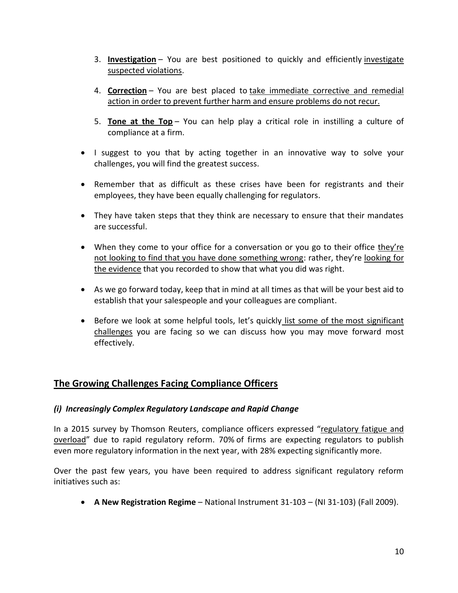- 3. **Investigation** You are best positioned to quickly and efficiently investigate suspected violations.
- 4. **Correction** You are best placed to take immediate corrective and remedial action in order to prevent further harm and ensure problems do not recur.
- 5. **Tone at the Top** You can help play a critical role in instilling a culture of compliance at a firm.
- I suggest to you that by acting together in an innovative way to solve your challenges, you will find the greatest success.
- Remember that as difficult as these crises have been for registrants and their employees, they have been equally challenging for regulators.
- They have taken steps that they think are necessary to ensure that their mandates are successful.
- When they come to your office for a conversation or you go to their office they're not looking to find that you have done something wrong: rather, they're looking for the evidence that you recorded to show that what you did was right.
- As we go forward today, keep that in mind at all times as that will be your best aid to establish that your salespeople and your colleagues are compliant.
- Before we look at some helpful tools, let's quickly list some of the most significant challenges you are facing so we can discuss how you may move forward most effectively.

# **The Growing Challenges Facing Compliance Officers**

#### *(i) Increasingly Complex Regulatory Landscape and Rapid Change*

In a 2015 survey by Thomson Reuters, compliance officers expressed "regulatory fatigue and overload" due to rapid regulatory reform. 70% of firms are expecting regulators to publish even more regulatory information in the next year, with 28% expecting significantly more.

Over the past few years, you have been required to address significant regulatory reform initiatives such as:

**A New Registration Regime** – National Instrument 31-103 – (NI 31-103) (Fall 2009).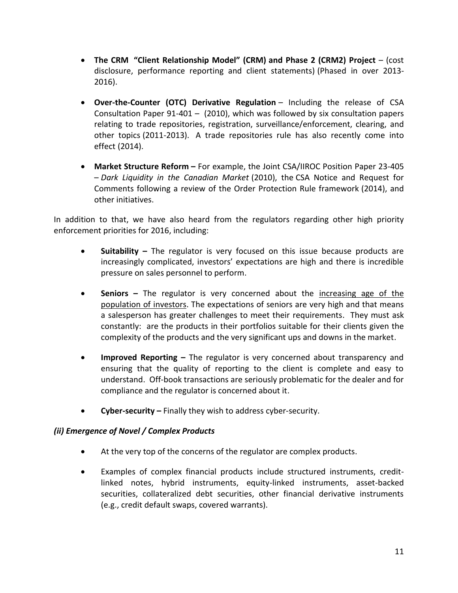- **The CRM "Client Relationship Model" (CRM) and Phase 2 (CRM2) Project** (cost disclosure, performance reporting and client statements) (Phased in over 2013- 2016).
- **Over-the-Counter (OTC) Derivative Regulation** Including the release of CSA Consultation Paper 91-401 – (2010), which was followed by six consultation papers relating to trade repositories, registration, surveillance/enforcement, clearing, and other topics (2011-2013). A trade repositories rule has also recently come into effect (2014).
- **Market Structure Reform –** For example, the Joint CSA/IIROC Position Paper 23-405 – *Dark Liquidity in the Canadian Market* (2010), the CSA Notice and Request for Comments following a review of the Order Protection Rule framework (2014), and other initiatives.

In addition to that, we have also heard from the regulators regarding other high priority enforcement priorities for 2016, including:

- **Suitability –** The regulator is very focused on this issue because products are increasingly complicated, investors' expectations are high and there is incredible pressure on sales personnel to perform.
- **Seniors –** The regulator is very concerned about the increasing age of the population of investors. The expectations of seniors are very high and that means a salesperson has greater challenges to meet their requirements. They must ask constantly: are the products in their portfolios suitable for their clients given the complexity of the products and the very significant ups and downs in the market.
- **Improved Reporting –** The regulator is very concerned about transparency and ensuring that the quality of reporting to the client is complete and easy to understand. Off-book transactions are seriously problematic for the dealer and for compliance and the regulator is concerned about it.
- **Cyber-security –** Finally they wish to address cyber-security.

#### *(ii) Emergence of Novel / Complex Products*

- At the very top of the concerns of the regulator are complex products.
- Examples of complex financial products include structured instruments, creditlinked notes, hybrid instruments, equity-linked instruments, asset-backed securities, collateralized debt securities, other financial derivative instruments (e.g., credit default swaps, covered warrants).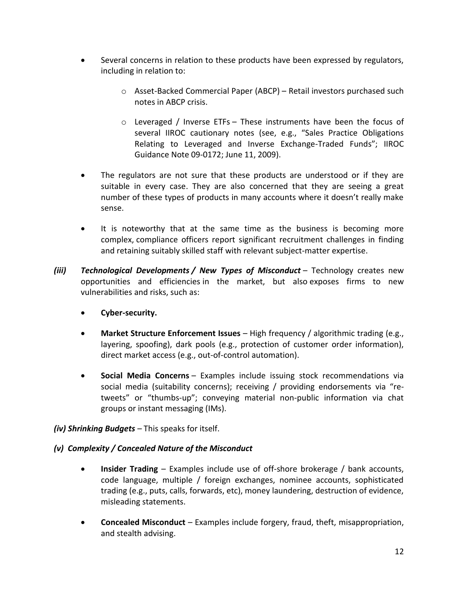- Several concerns in relation to these products have been expressed by regulators, including in relation to:
	- o Asset-Backed Commercial Paper (ABCP) Retail investors purchased such notes in ABCP crisis.
	- o Leveraged / Inverse ETFs These instruments have been the focus of several IIROC cautionary notes (see, e.g., "Sales Practice Obligations Relating to Leveraged and Inverse Exchange-Traded Funds"; IIROC Guidance Note 09-0172; June 11, 2009).
- The regulators are not sure that these products are understood or if they are suitable in every case. They are also concerned that they are seeing a great number of these types of products in many accounts where it doesn't really make sense.
- It is noteworthy that at the same time as the business is becoming more complex, compliance officers report significant recruitment challenges in finding and retaining suitably skilled staff with relevant subject-matter expertise.
- *(iii) Technological Developments / New Types of Misconduct* Technology creates new opportunities and efficiencies in the market, but also exposes firms to new vulnerabilities and risks, such as:
	- **Cyber-security.**
	- **Market Structure Enforcement Issues** High frequency / algorithmic trading (e.g., layering, spoofing), dark pools (e.g., protection of customer order information), direct market access (e.g., out-of-control automation).
	- **Social Media Concerns** Examples include issuing stock recommendations via social media (suitability concerns); receiving / providing endorsements via "retweets" or "thumbs-up"; conveying material non-public information via chat groups or instant messaging (IMs).
- *(iv) Shrinking Budgets –* This speaks for itself.
- *(v) Complexity / Concealed Nature of the Misconduct*
	- **Insider Trading** Examples include use of off-shore brokerage / bank accounts, code language, multiple / foreign exchanges, nominee accounts, sophisticated trading (e.g., puts, calls, forwards, etc), money laundering, destruction of evidence, misleading statements.
	- **Concealed Misconduct** Examples include forgery, fraud, theft, misappropriation, and stealth advising.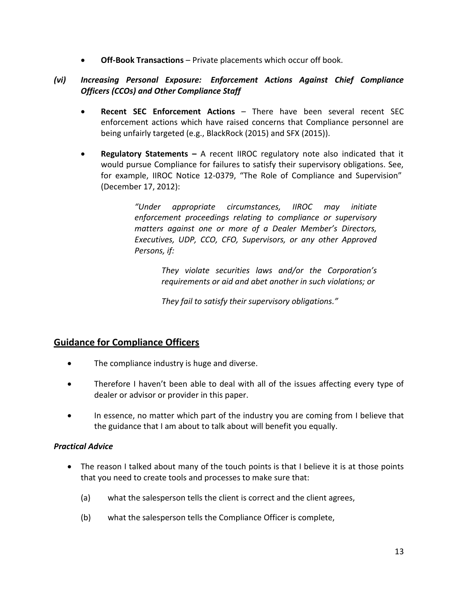**Off-Book Transactions** – Private placements which occur off book.

## *(vi) Increasing Personal Exposure: Enforcement Actions Against Chief Compliance Officers (CCOs) and Other Compliance Staff*

- **Recent SEC Enforcement Actions** There have been several recent SEC enforcement actions which have raised concerns that Compliance personnel are being unfairly targeted (e.g., BlackRock (2015) and SFX (2015)).
- **Regulatory Statements –** A recent IIROC regulatory note also indicated that it would pursue Compliance for failures to satisfy their supervisory obligations. See, for example, IIROC Notice 12-0379, "The Role of Compliance and Supervision" (December 17, 2012):

*"Under appropriate circumstances, IIROC may initiate enforcement proceedings relating to compliance or supervisory matters against one or more of a Dealer Member's Directors, Executives, UDP, CCO, CFO, Supervisors, or any other Approved Persons, if:*

> *They violate securities laws and/or the Corporation's requirements or aid and abet another in such violations; or*

*They fail to satisfy their supervisory obligations."*

# **Guidance for Compliance Officers**

- The compliance industry is huge and diverse.
- Therefore I haven't been able to deal with all of the issues affecting every type of dealer or advisor or provider in this paper.
- In essence, no matter which part of the industry you are coming from I believe that the guidance that I am about to talk about will benefit you equally.

## *Practical Advice*

- The reason I talked about many of the touch points is that I believe it is at those points that you need to create tools and processes to make sure that:
	- (a) what the salesperson tells the client is correct and the client agrees,
	- (b) what the salesperson tells the Compliance Officer is complete,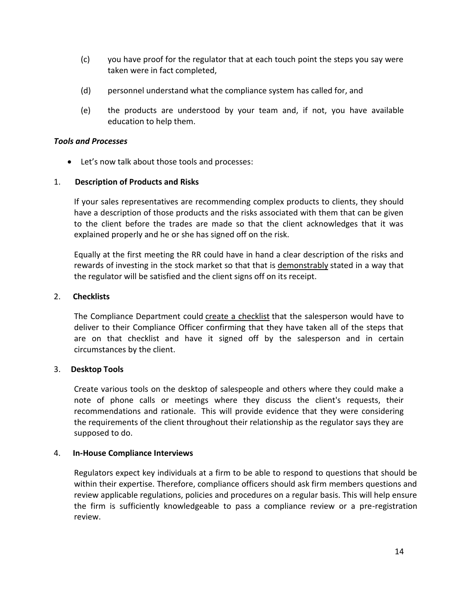- (c) you have proof for the regulator that at each touch point the steps you say were taken were in fact completed,
- (d) personnel understand what the compliance system has called for, and
- (e) the products are understood by your team and, if not, you have available education to help them.

#### *Tools and Processes*

Let's now talk about those tools and processes:

#### 1. **Description of Products and Risks**

If your sales representatives are recommending complex products to clients, they should have a description of those products and the risks associated with them that can be given to the client before the trades are made so that the client acknowledges that it was explained properly and he or she has signed off on the risk.

Equally at the first meeting the RR could have in hand a clear description of the risks and rewards of investing in the stock market so that that is demonstrably stated in a way that the regulator will be satisfied and the client signs off on its receipt.

#### 2. **Checklists**

The Compliance Department could create a checklist that the salesperson would have to deliver to their Compliance Officer confirming that they have taken all of the steps that are on that checklist and have it signed off by the salesperson and in certain circumstances by the client.

#### 3. **Desktop Tools**

Create various tools on the desktop of salespeople and others where they could make a note of phone calls or meetings where they discuss the client's requests, their recommendations and rationale. This will provide evidence that they were considering the requirements of the client throughout their relationship as the regulator says they are supposed to do.

#### 4. **In-House Compliance Interviews**

Regulators expect key individuals at a firm to be able to respond to questions that should be within their expertise. Therefore, compliance officers should ask firm members questions and review applicable regulations, policies and procedures on a regular basis. This will help ensure the firm is sufficiently knowledgeable to pass a compliance review or a pre-registration review.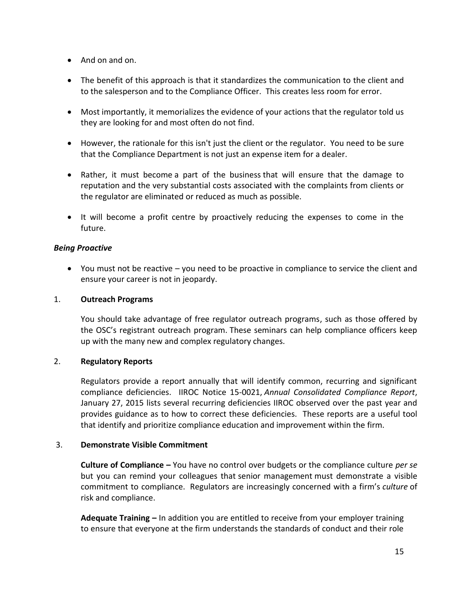- And on and on.
- The benefit of this approach is that it standardizes the communication to the client and to the salesperson and to the Compliance Officer. This creates less room for error.
- Most importantly, it memorializes the evidence of your actions that the regulator told us they are looking for and most often do not find.
- However, the rationale for this isn't just the client or the regulator. You need to be sure that the Compliance Department is not just an expense item for a dealer.
- Rather, it must become a part of the business that will ensure that the damage to reputation and the very substantial costs associated with the complaints from clients or the regulator are eliminated or reduced as much as possible.
- It will become a profit centre by proactively reducing the expenses to come in the future.

#### *Being Proactive*

 You must not be reactive – you need to be proactive in compliance to service the client and ensure your career is not in jeopardy.

#### 1. **Outreach Programs**

You should take advantage of free regulator outreach programs, such as those offered by the OSC's registrant outreach program. These seminars can help compliance officers keep up with the many new and complex regulatory changes.

#### 2. **Regulatory Reports**

Regulators provide a report annually that will identify common, recurring and significant compliance deficiencies. IIROC Notice 15-0021, *Annual Consolidated Compliance Report*, January 27, 2015 lists several recurring deficiencies IIROC observed over the past year and provides guidance as to how to correct these deficiencies. These reports are a useful tool that identify and prioritize compliance education and improvement within the firm.

#### 3. **Demonstrate Visible Commitment**

**Culture of Compliance –** You have no control over budgets or the compliance culture *per se* but you can remind your colleagues that senior management must demonstrate a visible commitment to compliance. Regulators are increasingly concerned with a firm's *culture* of risk and compliance.

**Adequate Training –** In addition you are entitled to receive from your employer training to ensure that everyone at the firm understands the standards of conduct and their role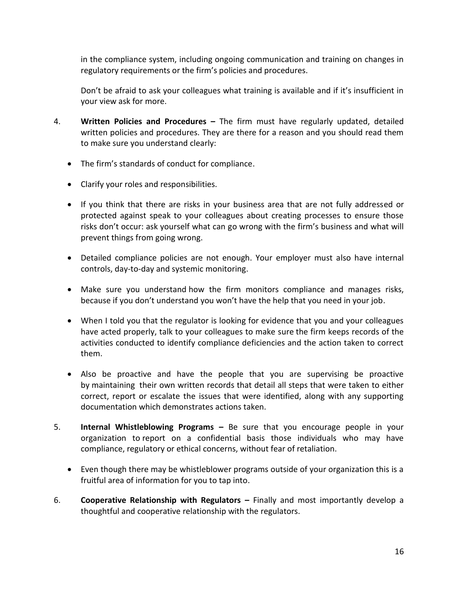in the compliance system, including ongoing communication and training on changes in regulatory requirements or the firm's policies and procedures.

Don't be afraid to ask your colleagues what training is available and if it's insufficient in your view ask for more.

- 4. **Written Policies and Procedures –** The firm must have regularly updated, detailed written policies and procedures. They are there for a reason and you should read them to make sure you understand clearly:
	- The firm's standards of conduct for compliance.
	- Clarify your roles and responsibilities.
	- If you think that there are risks in your business area that are not fully addressed or protected against speak to your colleagues about creating processes to ensure those risks don't occur: ask yourself what can go wrong with the firm's business and what will prevent things from going wrong.
	- Detailed compliance policies are not enough. Your employer must also have internal controls, day-to-day and systemic monitoring.
	- Make sure you understand how the firm monitors compliance and manages risks, because if you don't understand you won't have the help that you need in your job.
	- When I told you that the regulator is looking for evidence that you and your colleagues have acted properly, talk to your colleagues to make sure the firm keeps records of the activities conducted to identify compliance deficiencies and the action taken to correct them.
	- Also be proactive and have the people that you are supervising be proactive by maintaining their own written records that detail all steps that were taken to either correct, report or escalate the issues that were identified, along with any supporting documentation which demonstrates actions taken.
- 5. **Internal Whistleblowing Programs –** Be sure that you encourage people in your organization to report on a confidential basis those individuals who may have compliance, regulatory or ethical concerns, without fear of retaliation.
	- Even though there may be whistleblower programs outside of your organization this is a fruitful area of information for you to tap into.
- 6. **Cooperative Relationship with Regulators –** Finally and most importantly develop a thoughtful and cooperative relationship with the regulators.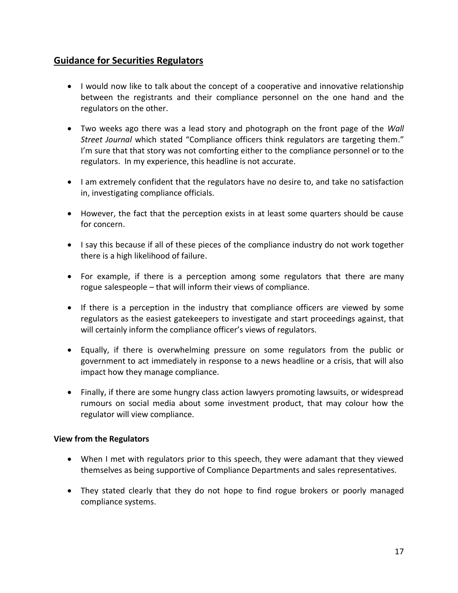# **Guidance for Securities Regulators**

- I would now like to talk about the concept of a cooperative and innovative relationship between the registrants and their compliance personnel on the one hand and the regulators on the other.
- Two weeks ago there was a lead story and photograph on the front page of the *Wall Street Journal* which stated "Compliance officers think regulators are targeting them." I'm sure that that story was not comforting either to the compliance personnel or to the regulators. In my experience, this headline is not accurate.
- I am extremely confident that the regulators have no desire to, and take no satisfaction in, investigating compliance officials.
- However, the fact that the perception exists in at least some quarters should be cause for concern.
- I say this because if all of these pieces of the compliance industry do not work together there is a high likelihood of failure.
- For example, if there is a perception among some regulators that there are many rogue salespeople – that will inform their views of compliance.
- If there is a perception in the industry that compliance officers are viewed by some regulators as the easiest gatekeepers to investigate and start proceedings against, that will certainly inform the compliance officer's views of regulators.
- Equally, if there is overwhelming pressure on some regulators from the public or government to act immediately in response to a news headline or a crisis, that will also impact how they manage compliance.
- Finally, if there are some hungry class action lawyers promoting lawsuits, or widespread rumours on social media about some investment product, that may colour how the regulator will view compliance.

#### **View from the Regulators**

- When I met with regulators prior to this speech, they were adamant that they viewed themselves as being supportive of Compliance Departments and sales representatives.
- They stated clearly that they do not hope to find rogue brokers or poorly managed compliance systems.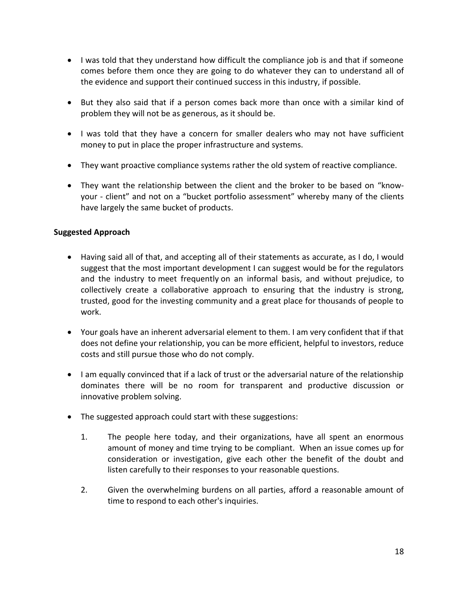- I was told that they understand how difficult the compliance job is and that if someone comes before them once they are going to do whatever they can to understand all of the evidence and support their continued success in this industry, if possible.
- But they also said that if a person comes back more than once with a similar kind of problem they will not be as generous, as it should be.
- I was told that they have a concern for smaller dealers who may not have sufficient money to put in place the proper infrastructure and systems.
- They want proactive compliance systems rather the old system of reactive compliance.
- They want the relationship between the client and the broker to be based on "knowyour - client" and not on a "bucket portfolio assessment" whereby many of the clients have largely the same bucket of products.

#### **Suggested Approach**

- Having said all of that, and accepting all of their statements as accurate, as I do, I would suggest that the most important development I can suggest would be for the regulators and the industry to meet frequently on an informal basis, and without prejudice, to collectively create a collaborative approach to ensuring that the industry is strong, trusted, good for the investing community and a great place for thousands of people to work.
- Your goals have an inherent adversarial element to them. I am very confident that if that does not define your relationship, you can be more efficient, helpful to investors, reduce costs and still pursue those who do not comply.
- I am equally convinced that if a lack of trust or the adversarial nature of the relationship dominates there will be no room for transparent and productive discussion or innovative problem solving.
- The suggested approach could start with these suggestions:
	- 1. The people here today, and their organizations, have all spent an enormous amount of money and time trying to be compliant. When an issue comes up for consideration or investigation, give each other the benefit of the doubt and listen carefully to their responses to your reasonable questions.
	- 2. Given the overwhelming burdens on all parties, afford a reasonable amount of time to respond to each other's inquiries.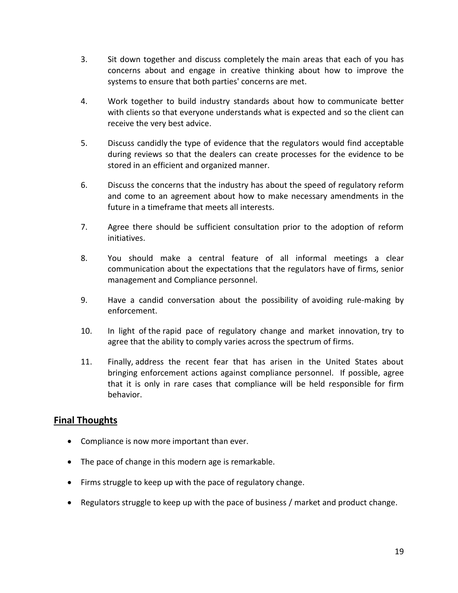- 3. Sit down together and discuss completely the main areas that each of you has concerns about and engage in creative thinking about how to improve the systems to ensure that both parties' concerns are met.
- 4. Work together to build industry standards about how to communicate better with clients so that everyone understands what is expected and so the client can receive the very best advice.
- 5. Discuss candidly the type of evidence that the regulators would find acceptable during reviews so that the dealers can create processes for the evidence to be stored in an efficient and organized manner.
- 6. Discuss the concerns that the industry has about the speed of regulatory reform and come to an agreement about how to make necessary amendments in the future in a timeframe that meets all interests.
- 7. Agree there should be sufficient consultation prior to the adoption of reform initiatives.
- 8. You should make a central feature of all informal meetings a clear communication about the expectations that the regulators have of firms, senior management and Compliance personnel.
- 9. Have a candid conversation about the possibility of avoiding rule-making by enforcement.
- 10. In light of the rapid pace of regulatory change and market innovation, try to agree that the ability to comply varies across the spectrum of firms.
- 11. Finally, address the recent fear that has arisen in the United States about bringing enforcement actions against compliance personnel. If possible, agree that it is only in rare cases that compliance will be held responsible for firm behavior.

# **Final Thoughts**

- Compliance is now more important than ever.
- The pace of change in this modern age is remarkable.
- Firms struggle to keep up with the pace of regulatory change.
- Regulators struggle to keep up with the pace of business / market and product change.